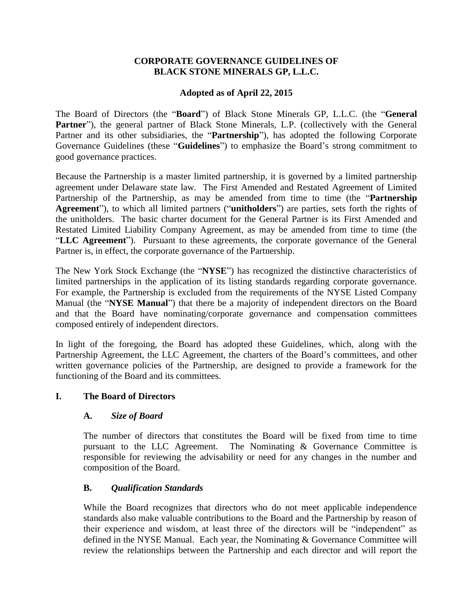### **CORPORATE GOVERNANCE GUIDELINES OF BLACK STONE MINERALS GP, L.L.C.**

### **Adopted as of April 22, 2015**

The Board of Directors (the "**Board**") of Black Stone Minerals GP, L.L.C. (the "**General**  Partner"), the general partner of Black Stone Minerals, L.P. (collectively with the General Partner and its other subsidiaries, the "**Partnership**"), has adopted the following Corporate Governance Guidelines (these "**Guidelines**") to emphasize the Board's strong commitment to good governance practices.

Because the Partnership is a master limited partnership, it is governed by a limited partnership agreement under Delaware state law. The First Amended and Restated Agreement of Limited Partnership of the Partnership, as may be amended from time to time (the "**Partnership Agreement**"), to which all limited partners ("**unitholders**") are parties, sets forth the rights of the unitholders. The basic charter document for the General Partner is its First Amended and Restated Limited Liability Company Agreement, as may be amended from time to time (the "**LLC Agreement**"). Pursuant to these agreements, the corporate governance of the General Partner is, in effect, the corporate governance of the Partnership.

The New York Stock Exchange (the "**NYSE**") has recognized the distinctive characteristics of limited partnerships in the application of its listing standards regarding corporate governance. For example, the Partnership is excluded from the requirements of the NYSE Listed Company Manual (the "**NYSE Manual**") that there be a majority of independent directors on the Board and that the Board have nominating/corporate governance and compensation committees composed entirely of independent directors.

In light of the foregoing, the Board has adopted these Guidelines, which, along with the Partnership Agreement, the LLC Agreement, the charters of the Board's committees, and other written governance policies of the Partnership, are designed to provide a framework for the functioning of the Board and its committees.

#### **I. The Board of Directors**

#### **A.** *Size of Board*

The number of directors that constitutes the Board will be fixed from time to time pursuant to the LLC Agreement. The Nominating & Governance Committee is responsible for reviewing the advisability or need for any changes in the number and composition of the Board.

## **B.** *Qualification Standards*

While the Board recognizes that directors who do not meet applicable independence standards also make valuable contributions to the Board and the Partnership by reason of their experience and wisdom, at least three of the directors will be "independent" as defined in the NYSE Manual. Each year, the Nominating & Governance Committee will review the relationships between the Partnership and each director and will report the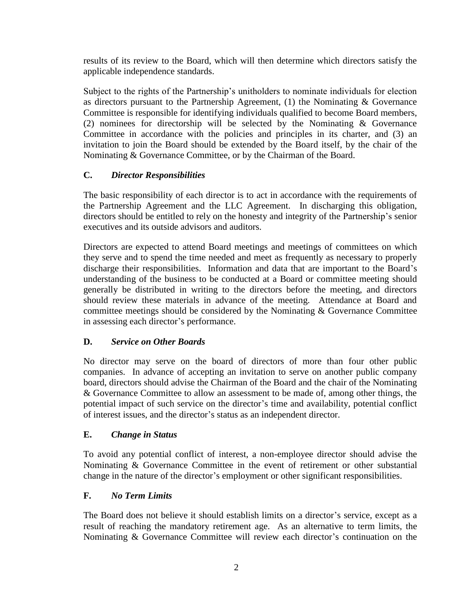results of its review to the Board, which will then determine which directors satisfy the applicable independence standards.

Subject to the rights of the Partnership's unitholders to nominate individuals for election as directors pursuant to the Partnership Agreement, (1) the Nominating & Governance Committee is responsible for identifying individuals qualified to become Board members, (2) nominees for directorship will be selected by the Nominating & Governance Committee in accordance with the policies and principles in its charter, and (3) an invitation to join the Board should be extended by the Board itself, by the chair of the Nominating & Governance Committee, or by the Chairman of the Board.

## **C.** *Director Responsibilities*

The basic responsibility of each director is to act in accordance with the requirements of the Partnership Agreement and the LLC Agreement. In discharging this obligation, directors should be entitled to rely on the honesty and integrity of the Partnership's senior executives and its outside advisors and auditors.

Directors are expected to attend Board meetings and meetings of committees on which they serve and to spend the time needed and meet as frequently as necessary to properly discharge their responsibilities. Information and data that are important to the Board's understanding of the business to be conducted at a Board or committee meeting should generally be distributed in writing to the directors before the meeting, and directors should review these materials in advance of the meeting. Attendance at Board and committee meetings should be considered by the Nominating & Governance Committee in assessing each director's performance.

## **D.** *Service on Other Boards*

No director may serve on the board of directors of more than four other public companies. In advance of accepting an invitation to serve on another public company board, directors should advise the Chairman of the Board and the chair of the Nominating & Governance Committee to allow an assessment to be made of, among other things, the potential impact of such service on the director's time and availability, potential conflict of interest issues, and the director's status as an independent director.

## **E.** *Change in Status*

To avoid any potential conflict of interest, a non-employee director should advise the Nominating & Governance Committee in the event of retirement or other substantial change in the nature of the director's employment or other significant responsibilities.

## **F.** *No Term Limits*

The Board does not believe it should establish limits on a director's service, except as a result of reaching the mandatory retirement age. As an alternative to term limits, the Nominating & Governance Committee will review each director's continuation on the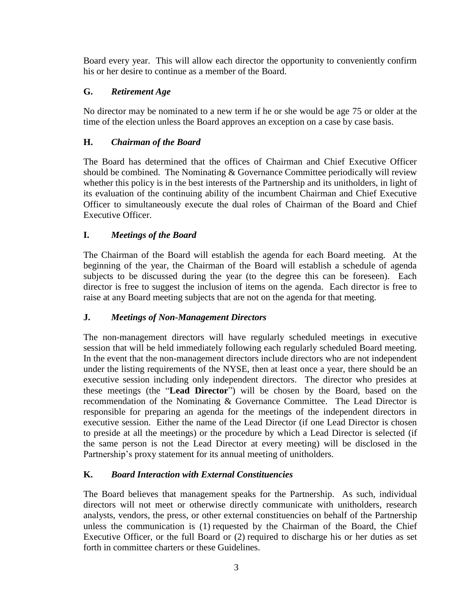Board every year. This will allow each director the opportunity to conveniently confirm his or her desire to continue as a member of the Board.

# **G.** *Retirement Age*

No director may be nominated to a new term if he or she would be age 75 or older at the time of the election unless the Board approves an exception on a case by case basis.

# **H.** *Chairman of the Board*

The Board has determined that the offices of Chairman and Chief Executive Officer should be combined. The Nominating  $&$  Governance Committee periodically will review whether this policy is in the best interests of the Partnership and its unitholders, in light of its evaluation of the continuing ability of the incumbent Chairman and Chief Executive Officer to simultaneously execute the dual roles of Chairman of the Board and Chief Executive Officer.

# **I.** *Meetings of the Board*

The Chairman of the Board will establish the agenda for each Board meeting. At the beginning of the year, the Chairman of the Board will establish a schedule of agenda subjects to be discussed during the year (to the degree this can be foreseen). Each director is free to suggest the inclusion of items on the agenda. Each director is free to raise at any Board meeting subjects that are not on the agenda for that meeting.

## **J.** *Meetings of Non-Management Directors*

The non-management directors will have regularly scheduled meetings in executive session that will be held immediately following each regularly scheduled Board meeting. In the event that the non-management directors include directors who are not independent under the listing requirements of the NYSE, then at least once a year, there should be an executive session including only independent directors. The director who presides at these meetings (the "**Lead Director**") will be chosen by the Board, based on the recommendation of the Nominating & Governance Committee. The Lead Director is responsible for preparing an agenda for the meetings of the independent directors in executive session. Either the name of the Lead Director (if one Lead Director is chosen to preside at all the meetings) or the procedure by which a Lead Director is selected (if the same person is not the Lead Director at every meeting) will be disclosed in the Partnership's proxy statement for its annual meeting of unitholders.

## **K.** *Board Interaction with External Constituencies*

The Board believes that management speaks for the Partnership. As such, individual directors will not meet or otherwise directly communicate with unitholders, research analysts, vendors, the press, or other external constituencies on behalf of the Partnership unless the communication is (1) requested by the Chairman of the Board, the Chief Executive Officer, or the full Board or (2) required to discharge his or her duties as set forth in committee charters or these Guidelines.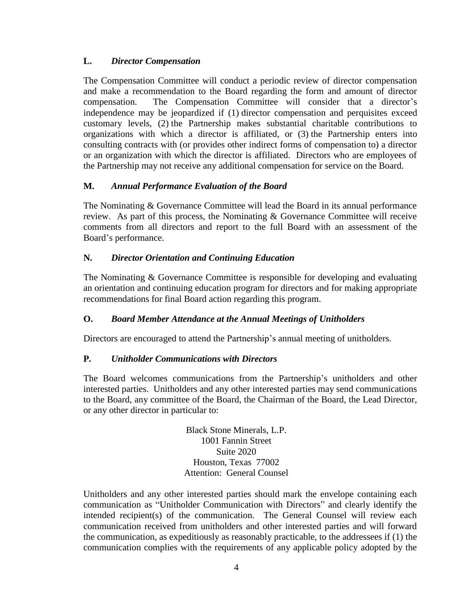## **L.** *Director Compensation*

The Compensation Committee will conduct a periodic review of director compensation and make a recommendation to the Board regarding the form and amount of director compensation. The Compensation Committee will consider that a director's independence may be jeopardized if (1) director compensation and perquisites exceed customary levels, (2) the Partnership makes substantial charitable contributions to organizations with which a director is affiliated, or (3) the Partnership enters into consulting contracts with (or provides other indirect forms of compensation to) a director or an organization with which the director is affiliated. Directors who are employees of the Partnership may not receive any additional compensation for service on the Board.

### **M.** *Annual Performance Evaluation of the Board*

The Nominating & Governance Committee will lead the Board in its annual performance review. As part of this process, the Nominating & Governance Committee will receive comments from all directors and report to the full Board with an assessment of the Board's performance.

### **N.** *Director Orientation and Continuing Education*

The Nominating & Governance Committee is responsible for developing and evaluating an orientation and continuing education program for directors and for making appropriate recommendations for final Board action regarding this program.

#### **O.** *Board Member Attendance at the Annual Meetings of Unitholders*

Directors are encouraged to attend the Partnership's annual meeting of unitholders.

#### **P.** *Unitholder Communications with Directors*

The Board welcomes communications from the Partnership's unitholders and other interested parties. Unitholders and any other interested parties may send communications to the Board, any committee of the Board, the Chairman of the Board, the Lead Director, or any other director in particular to:

> Black Stone Minerals, L.P. 1001 Fannin Street Suite 2020 Houston, Texas 77002 Attention: General Counsel

Unitholders and any other interested parties should mark the envelope containing each communication as "Unitholder Communication with Directors" and clearly identify the intended recipient(s) of the communication. The General Counsel will review each communication received from unitholders and other interested parties and will forward the communication, as expeditiously as reasonably practicable, to the addressees if (1) the communication complies with the requirements of any applicable policy adopted by the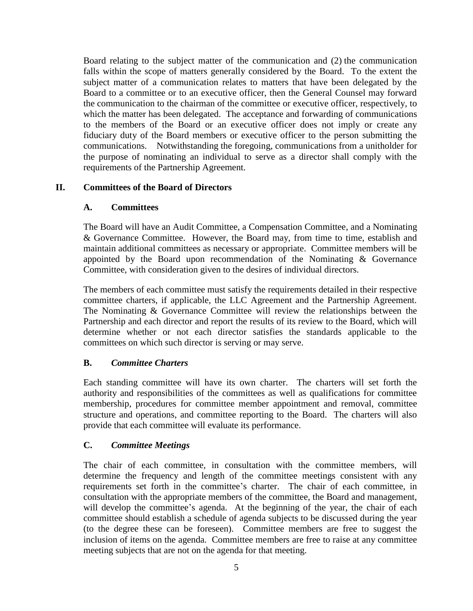Board relating to the subject matter of the communication and (2) the communication falls within the scope of matters generally considered by the Board. To the extent the subject matter of a communication relates to matters that have been delegated by the Board to a committee or to an executive officer, then the General Counsel may forward the communication to the chairman of the committee or executive officer, respectively, to which the matter has been delegated. The acceptance and forwarding of communications to the members of the Board or an executive officer does not imply or create any fiduciary duty of the Board members or executive officer to the person submitting the communications. Notwithstanding the foregoing, communications from a unitholder for the purpose of nominating an individual to serve as a director shall comply with the requirements of the Partnership Agreement.

### **II. Committees of the Board of Directors**

### **A. Committees**

The Board will have an Audit Committee, a Compensation Committee, and a Nominating & Governance Committee. However, the Board may, from time to time, establish and maintain additional committees as necessary or appropriate. Committee members will be appointed by the Board upon recommendation of the Nominating & Governance Committee, with consideration given to the desires of individual directors.

The members of each committee must satisfy the requirements detailed in their respective committee charters, if applicable, the LLC Agreement and the Partnership Agreement. The Nominating & Governance Committee will review the relationships between the Partnership and each director and report the results of its review to the Board, which will determine whether or not each director satisfies the standards applicable to the committees on which such director is serving or may serve.

## **B.** *Committee Charters*

Each standing committee will have its own charter. The charters will set forth the authority and responsibilities of the committees as well as qualifications for committee membership, procedures for committee member appointment and removal, committee structure and operations, and committee reporting to the Board. The charters will also provide that each committee will evaluate its performance.

## **C.** *Committee Meetings*

The chair of each committee, in consultation with the committee members, will determine the frequency and length of the committee meetings consistent with any requirements set forth in the committee's charter. The chair of each committee, in consultation with the appropriate members of the committee, the Board and management, will develop the committee's agenda. At the beginning of the year, the chair of each committee should establish a schedule of agenda subjects to be discussed during the year (to the degree these can be foreseen). Committee members are free to suggest the inclusion of items on the agenda. Committee members are free to raise at any committee meeting subjects that are not on the agenda for that meeting.